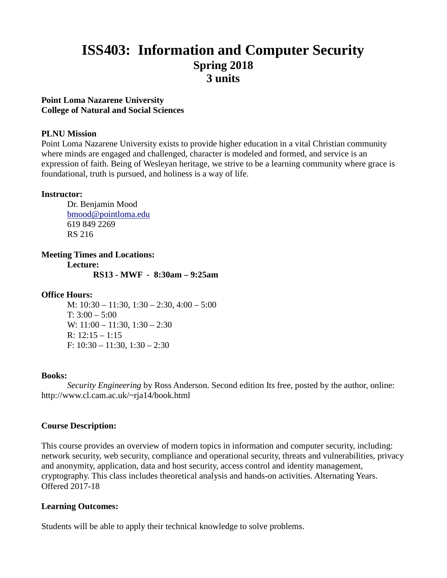# **ISS403: Information and Computer Security Spring 2018 3 units**

#### **Point Loma Nazarene University College of Natural and Social Sciences**

#### **PLNU Mission**

Point Loma Nazarene University exists to provide higher education in a vital Christian community where minds are engaged and challenged, character is modeled and formed, and service is an expression of faith. Being of Wesleyan heritage, we strive to be a learning community where grace is foundational, truth is pursued, and holiness is a way of life.

#### **Instructor:**

Dr. Benjamin Mood [bmood@pointloma.edu](mailto:bmood@pointloma.edu) 619 849 2269 RS 216

**Meeting Times and Locations: Lecture: RS13 - MWF - 8:30am – 9:25am**

# **Office Hours:**

M: 10:30 – 11:30, 1:30 – 2:30, 4:00 – 5:00 T:  $3:00 - 5:00$ W: 11:00 - 11:30, 1:30 - 2:30 R:  $12:15 - 1:15$ F: 10:30 – 11:30, 1:30 – 2:30

#### **Books:**

*Security Engineering* by Ross Anderson. Second edition Its free, posted by the author, online: http://www.cl.cam.ac.uk/~rja14/book.html

# **Course Description:**

This course provides an overview of modern topics in information and computer security, including: network security, web security, compliance and operational security, threats and vulnerabilities, privacy and anonymity, application, data and host security, access control and identity management, cryptography. This class includes theoretical analysis and hands-on activities. Alternating Years. Offered 2017-18

# **Learning Outcomes:**

Students will be able to apply their technical knowledge to solve problems.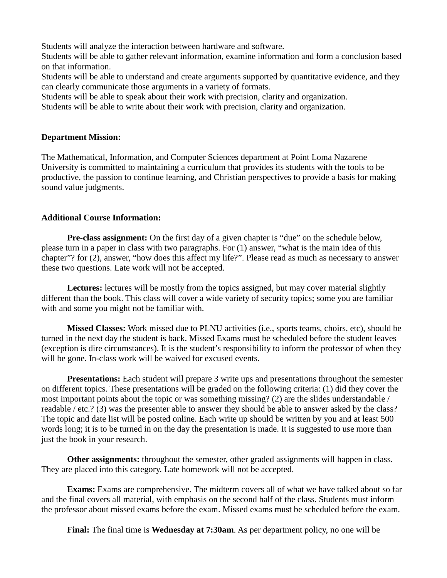Students will analyze the interaction between hardware and software.

Students will be able to gather relevant information, examine information and form a conclusion based on that information.

Students will be able to understand and create arguments supported by quantitative evidence, and they can clearly communicate those arguments in a variety of formats.

Students will be able to speak about their work with precision, clarity and organization.

Students will be able to write about their work with precision, clarity and organization.

#### **Department Mission:**

The Mathematical, Information, and Computer Sciences department at Point Loma Nazarene University is committed to maintaining a curriculum that provides its students with the tools to be productive, the passion to continue learning, and Christian perspectives to provide a basis for making sound value judgments.

#### **Additional Course Information:**

**Pre-class assignment:** On the first day of a given chapter is "due" on the schedule below, please turn in a paper in class with two paragraphs. For (1) answer, "what is the main idea of this chapter"? for (2), answer, "how does this affect my life?". Please read as much as necessary to answer these two questions. Late work will not be accepted.

**Lectures:** lectures will be mostly from the topics assigned, but may cover material slightly different than the book. This class will cover a wide variety of security topics; some you are familiar with and some you might not be familiar with.

**Missed Classes:** Work missed due to PLNU activities (i.e., sports teams, choirs, etc), should be turned in the next day the student is back. Missed Exams must be scheduled before the student leaves (exception is dire circumstances). It is the student's responsibility to inform the professor of when they will be gone. In-class work will be waived for excused events.

**Presentations:** Each student will prepare 3 write ups and presentations throughout the semester on different topics. These presentations will be graded on the following criteria: (1) did they cover the most important points about the topic or was something missing? (2) are the slides understandable / readable / etc.? (3) was the presenter able to answer they should be able to answer asked by the class? The topic and date list will be posted online. Each write up should be written by you and at least 500 words long; it is to be turned in on the day the presentation is made. It is suggested to use more than just the book in your research.

**Other assignments:** throughout the semester, other graded assignments will happen in class. They are placed into this category. Late homework will not be accepted.

**Exams:** Exams are comprehensive. The midterm covers all of what we have talked about so far and the final covers all material, with emphasis on the second half of the class. Students must inform the professor about missed exams before the exam. Missed exams must be scheduled before the exam.

**Final:** The final time is **Wednesday at 7:30am**. As per department policy, no one will be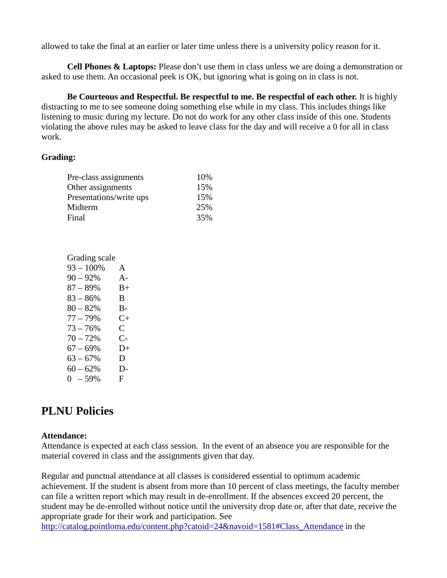allowed to take the final at an earlier or later time unless there is a university policy reason for it.

**Cell Phones & Laptops:** Please don't use them in class unless we are doing a demonstration or asked to use them. An occasional peek is OK, but ignoring what is going on in class is not.

**Be Courteous and Respectful. Be respectful to me. Be respectful of each other.** It is highly distracting to me to see someone doing something else while in my class. This includes things like listening to music during my lecture. Do not do work for any other class inside of this one. Students violating the above rules may be asked to leave class for the day and will receive a 0 for all in class work.

#### **Grading:**

| 10\% |
|------|
| 15%  |
| 15%  |
| 25%  |
| 35%  |
|      |

| Grading scale |       |
|---------------|-------|
| $93 - 100\%$  | A     |
| $90 - 92%$    | $A -$ |
| $87 - 89%$    | $B+$  |
| $83 - 86%$    | B     |
| $80 - 82%$    | B-    |
| $77 - 79%$    | $C+$  |
| $73 - 76%$    | C     |
| $70 - 72%$    | C-    |
| $67 - 69%$    | $D+$  |
| $63 - 67%$    | D     |
| $60 - 62%$    | D-    |
| $0 - 59%$     | F.    |
|               |       |

# **PLNU Policies**

#### **Attendance:**

Attendance is expected at each class session. In the event of an absence you are responsible for the material covered in class and the assignments given that day.

Regular and punctual attendance at all classes is considered essential to optimum academic achievement. If the student is absent from more than 10 percent of class meetings, the faculty member can file a written report which may result in de-enrollment. If the absences exceed 20 percent, the student may be de-enrolled without notice until the university drop date or, after that date, receive the appropriate grade for their work and participation. See

[http://catalog.pointloma.edu/content.php?catoid=24&navoid=1581#Class\\_Attendance](http://catalog.pointloma.edu/content.php?catoid=24&navoid=1581#Class_Attendance) in the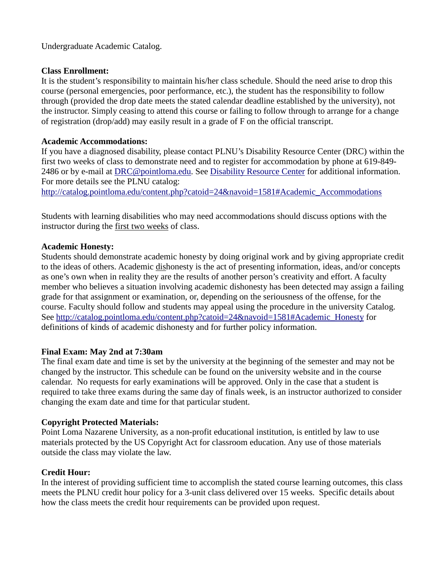Undergraduate Academic Catalog.

#### **Class Enrollment:**

It is the student's responsibility to maintain his/her class schedule. Should the need arise to drop this course (personal emergencies, poor performance, etc.), the student has the responsibility to follow through (provided the drop date meets the stated calendar deadline established by the university), not the instructor. Simply ceasing to attend this course or failing to follow through to arrange for a change of registration (drop/add) may easily result in a grade of F on the official transcript.

#### **Academic Accommodations:**

If you have a diagnosed disability, please contact PLNU's Disability Resource Center (DRC) within the first two weeks of class to demonstrate need and to register for accommodation by phone at 619-849- 2486 or by e-mail at [DRC@pointloma.edu.](mailto:DRC@pointloma.edu) See [Disability Resource Center](http://www.pointloma.edu/experience/offices/administrative-offices/academic-advising-office/disability-resource-center) for additional information. For more details see the PLNU catalog:

[http://catalog.pointloma.edu/content.php?catoid=24&navoid=1581#Academic\\_Accommodations](http://catalog.pointloma.edu/content.php?catoid=24&navoid=1581#Academic_Accommodations) 

Students with learning disabilities who may need accommodations should discuss options with the instructor during the first two weeks of class.

#### **Academic Honesty:**

Students should demonstrate academic honesty by doing original work and by giving appropriate credit to the ideas of others. Academic dishonesty is the act of presenting information, ideas, and/or concepts as one's own when in reality they are the results of another person's creativity and effort. A faculty member who believes a situation involving academic dishonesty has been detected may assign a failing grade for that assignment or examination, or, depending on the seriousness of the offense, for the course. Faculty should follow and students may appeal using the procedure in the university Catalog. See [http://catalog.pointloma.edu/content.php?catoid=24&navoid=1581#Academic\\_Honesty](http://catalog.pointloma.edu/content.php?catoid=24&navoid=1581#Academic_Honesty) for definitions of kinds of academic dishonesty and for further policy information.

# **Final Exam: May 2nd at 7:30am**

The final exam date and time is set by the university at the beginning of the semester and may not be changed by the instructor. This schedule can be found on the university website and in the course calendar. No requests for early examinations will be approved. Only in the case that a student is required to take three exams during the same day of finals week, is an instructor authorized to consider changing the exam date and time for that particular student.

# **Copyright Protected Materials:**

Point Loma Nazarene University, as a non-profit educational institution, is entitled by law to use materials protected by the US Copyright Act for classroom education. Any use of those materials outside the class may violate the law.

#### **Credit Hour:**

In the interest of providing sufficient time to accomplish the stated course learning outcomes, this class meets the PLNU credit hour policy for a 3-unit class delivered over 15 weeks. Specific details about how the class meets the credit hour requirements can be provided upon request.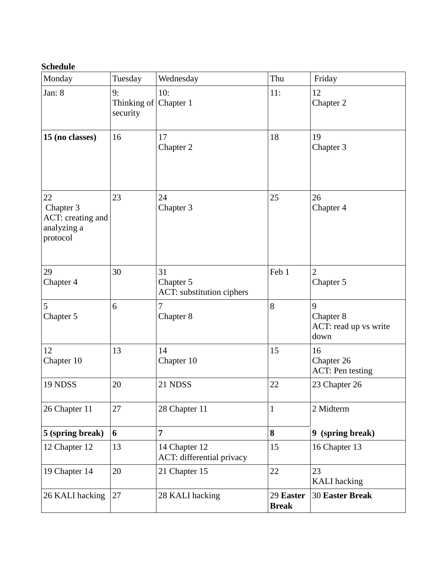# **Schedule**

| Monday                                                          | Tuesday                                 | Wednesday                                    | Thu                       | Friday                                          |
|-----------------------------------------------------------------|-----------------------------------------|----------------------------------------------|---------------------------|-------------------------------------------------|
| Jan: 8                                                          | 9:<br>Thinking of Chapter 1<br>security | 10:                                          | 11:                       | 12<br>Chapter 2                                 |
| 15 (no classes)                                                 | 16                                      | 17<br>Chapter 2                              | 18                        | 19<br>Chapter 3                                 |
| 22<br>Chapter 3<br>ACT: creating and<br>analyzing a<br>protocol | 23                                      | 24<br>Chapter 3                              | 25                        | 26<br>Chapter 4                                 |
| 29<br>Chapter 4                                                 | 30                                      | 31<br>Chapter 5<br>ACT: substitution ciphers | Feb 1                     | $\overline{2}$<br>Chapter 5                     |
| 5<br>Chapter 5                                                  | 6                                       | 7<br>Chapter 8                               | 8                         | 9<br>Chapter 8<br>ACT: read up vs write<br>down |
| 12<br>Chapter 10                                                | 13                                      | 14<br>Chapter 10                             | 15                        | 16<br>Chapter 26<br><b>ACT:</b> Pen testing     |
| 19 NDSS                                                         | 20                                      | 21 NDSS                                      | 22                        | 23 Chapter 26                                   |
| 26 Chapter 11                                                   | 27                                      | 28 Chapter 11                                | 1                         | 2 Midterm                                       |
| 5 (spring break)                                                | 6                                       | $\overline{7}$                               | 8                         | 9 (spring break)                                |
| 12 Chapter 12                                                   | 13                                      | 14 Chapter 12<br>ACT: differential privacy   | 15                        | 16 Chapter 13                                   |
| 19 Chapter 14                                                   | 20                                      | 21 Chapter 15                                | 22                        | 23<br><b>KALI</b> hacking                       |
| 26 KALI hacking                                                 | 27                                      | 28 KALI hacking                              | 29 Easter<br><b>Break</b> | <b>30 Easter Break</b>                          |